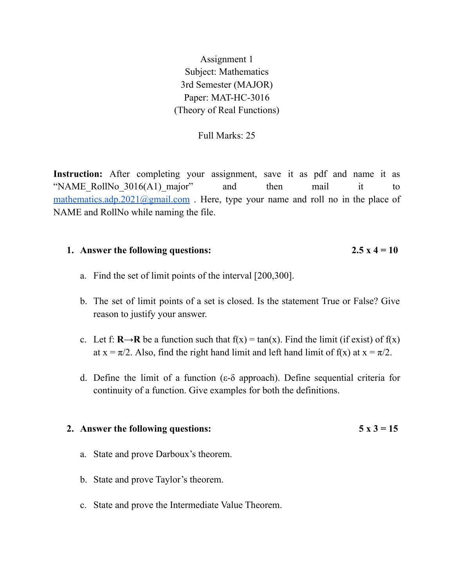Assignment 1 Subject: Mathematics 3rd Semester (MAJOR) Paper: MAT-HC-3016 (Theory of Real Functions)

# Full Marks: 25

Instruction: After completing your assignment, save it as pdf and name it as "NAME RollNo  $3016(A1)$  major" and then mail it to [mathematics.adp.2021@gmail.com](mailto:mathematics.adp.2021@gmail.com). Here, type your name and roll no in the place of NAME and RollNo while naming the file.

## **1. Answer** the following questions:  $2.5 \times 4 = 10$

- a. Find the set of limit points of the interval [200,300].
- b. The set of limit points of a set is closed. Is the statement True or False? Give reason to justify your answer.
- c. Let f:  $\mathbf{R} \rightarrow \mathbf{R}$  be a function such that  $f(x) = \tan(x)$ . Find the limit (if exist) of  $f(x)$ at  $x = \pi/2$ . Also, find the right hand limit and left hand limit of f(x) at  $x = \pi/2$ .
- d. Define the limit of a function (ε-δ approach). Define sequential criteria for continuity of a function. Give examples for both the definitions.

### **2. Answer** the following questions:  $5 \times 3 = 15$

- a. State and prove Darboux's theorem.
- b. State and prove Taylor's theorem.
- c. State and prove the Intermediate Value Theorem.